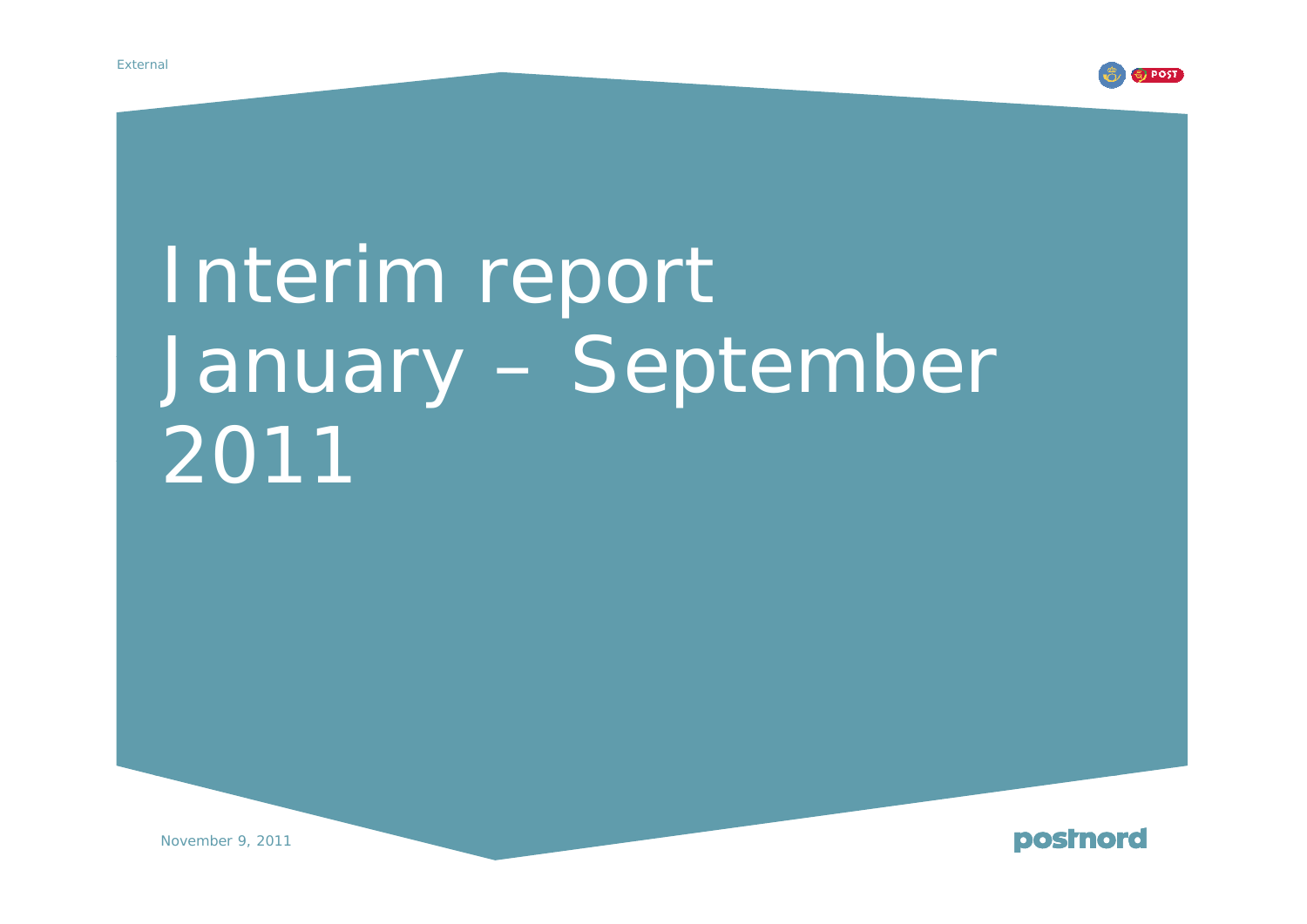

# Interim report January – September 2011



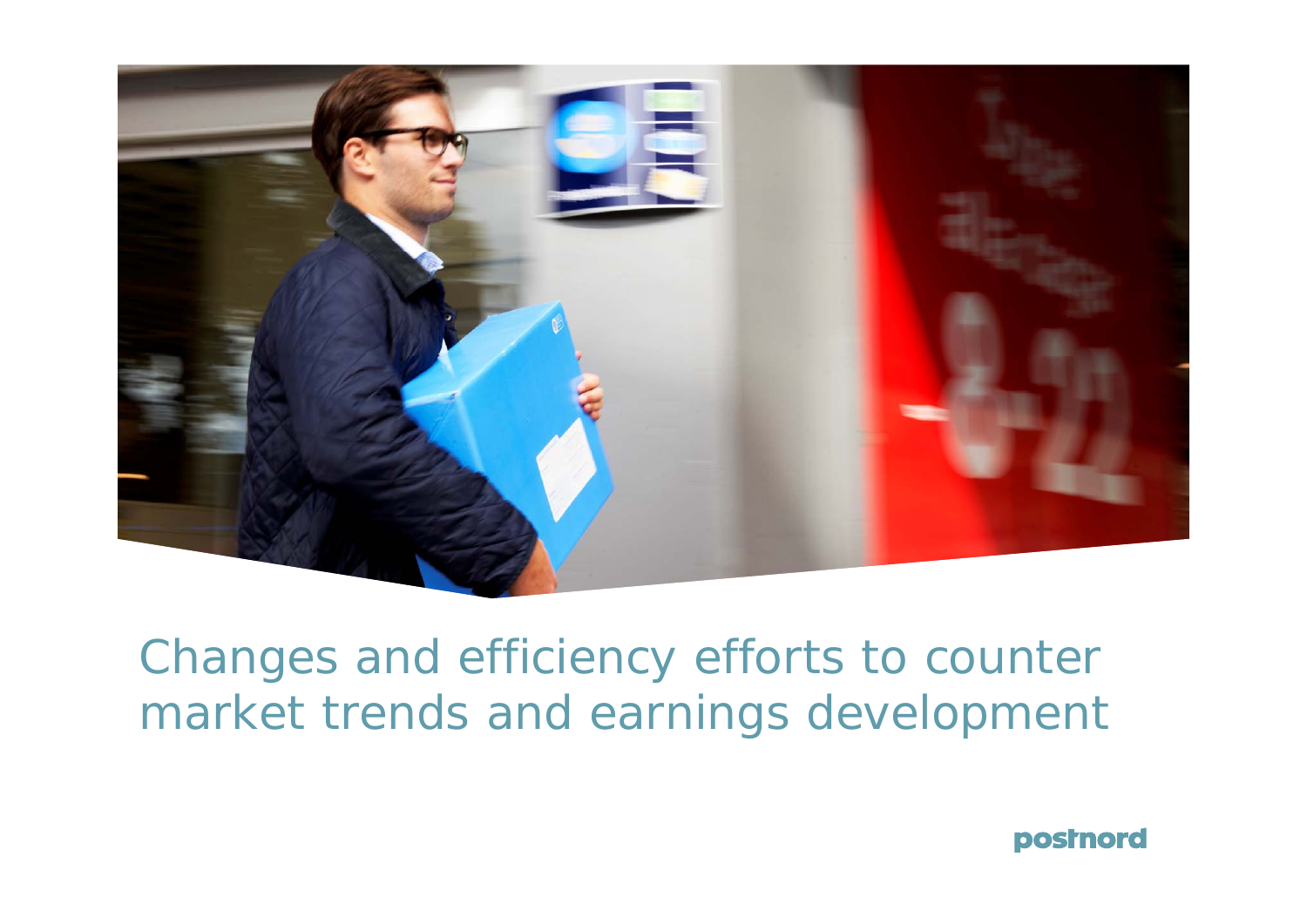

# Changes and efficiency efforts to counter market trends and earnings development

postnord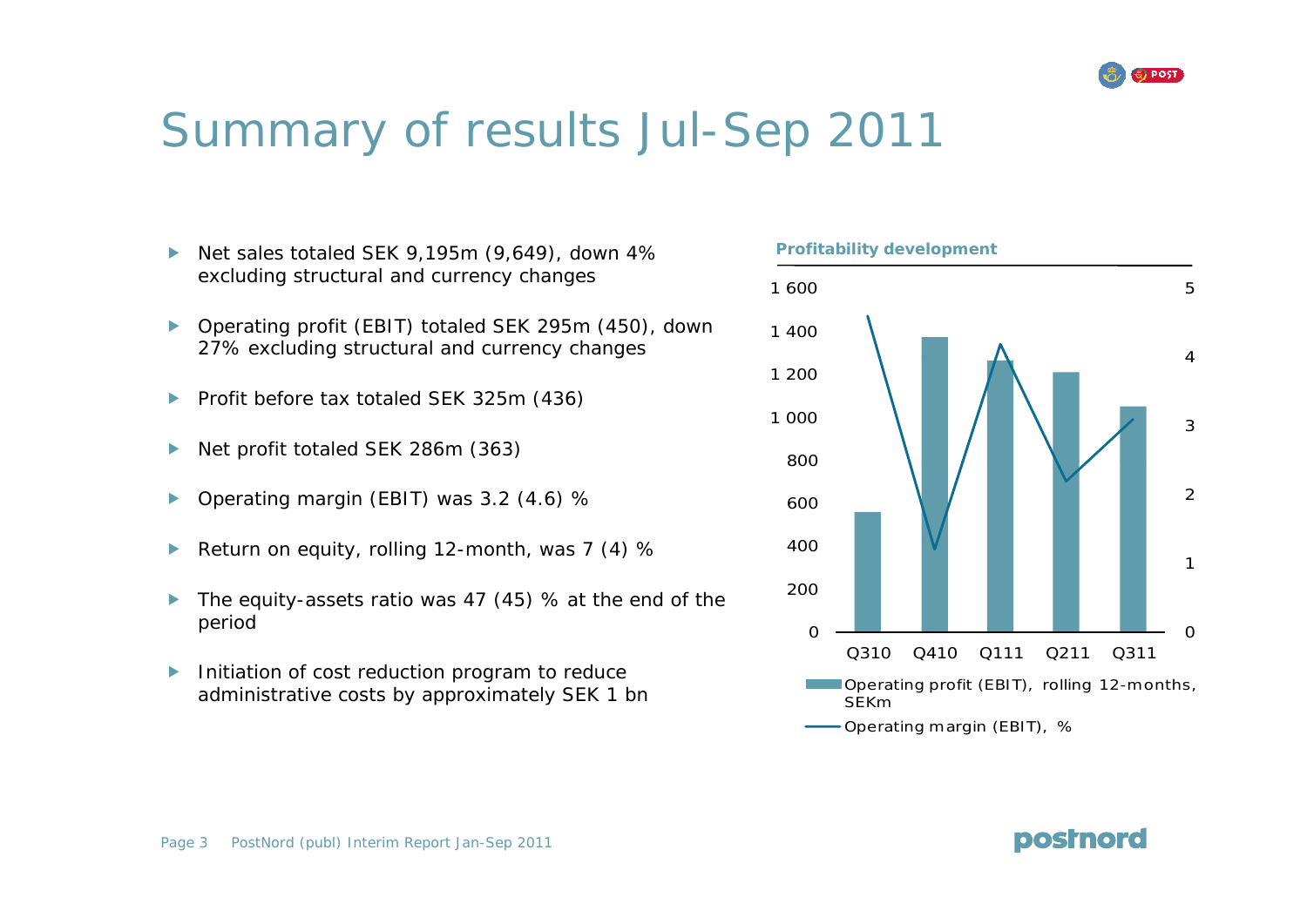

# Summary of results Jul-Sep 2011

- $\blacktriangleright$ Net sales totaled SEK 9,195m (9,649), down 4% excluding structural and currency changes
- $\blacktriangleright$  Operating profit (EBIT) totaled SEK 295m (450), down 27% excluding structural and currency changes
- $\blacktriangleright$ Profit before tax totaled SEK 325m (436)
- $\blacktriangleright$ Net profit totaled SEK 286m (363)
- $\blacktriangleright$ Operating margin (EBIT) was 3.2 (4.6) %
- $\blacktriangleright$ Return on equity, rolling 12-month, was  $7(4)$  %
- $\blacktriangleright$  The equity-assets ratio was 47 (45) % at the end of the period
- $\blacktriangleright$  Initiation of cost reduction program to reduce administrative costs by approximately SEK 1 bn Contract Contract CEBIT), rolling 12-months, administrative costs by approximately SEK 1 bn

**Profitability development** 



Page 3 PostNord (publ) Interim Report Jan-Sep 2011

**postnord**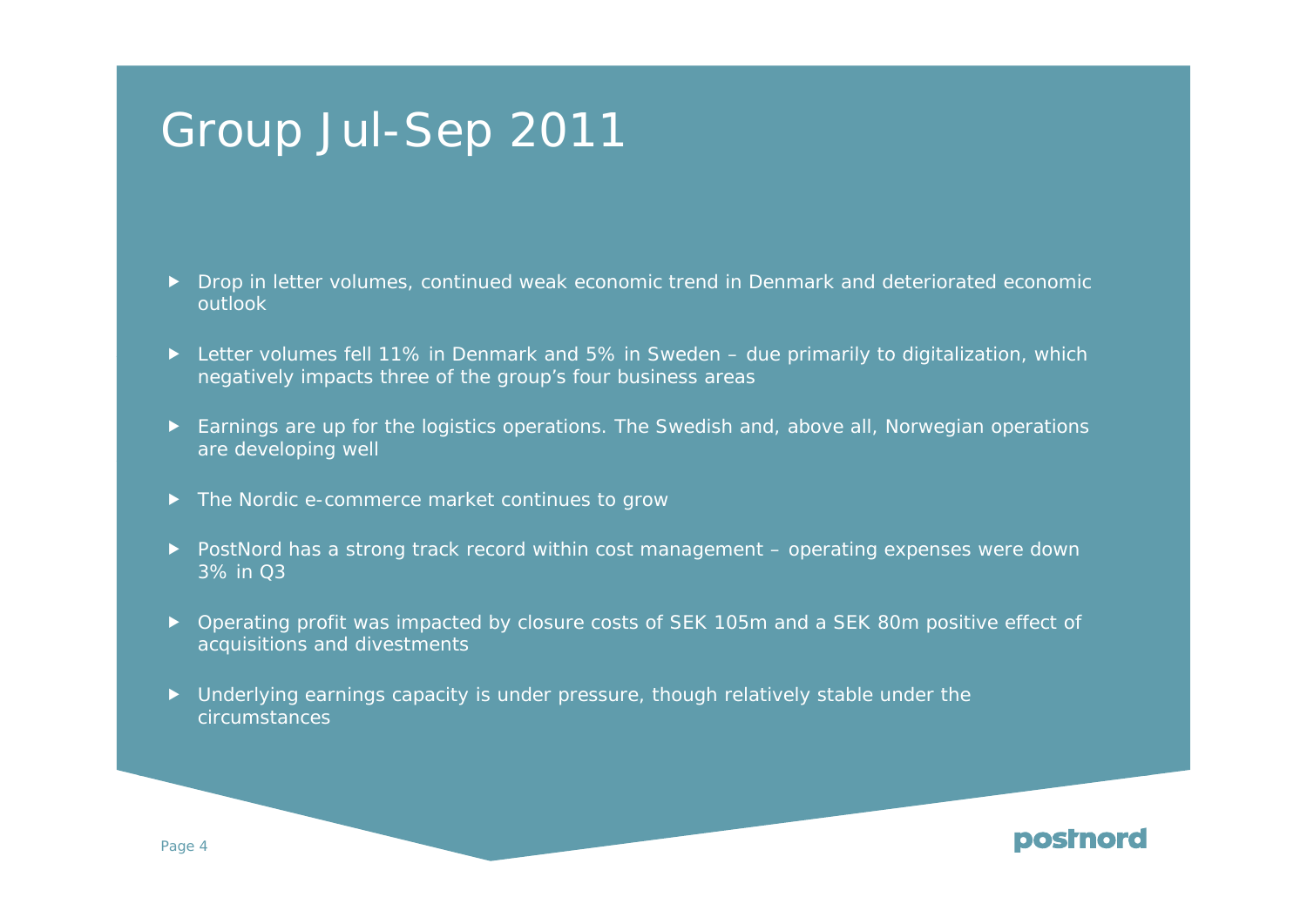# Group Jul-Sep 2011

- ▶ Drop in letter volumes, continued weak economic trend in Denmark and deteriorated economic outlook
- $\blacktriangleright$  Letter volumes fell 11% in Denmark and 5% in Sweden due primarily to digitalization, which negatively impacts three of the group's four business areas
- Earnings are up for the logistics operations. The Swedish and, above all, Norwegian operations are developing well
- ▶ The Nordic e-commerce market continues to grow
- ▶ PostNord has a strong track record within cost management operating expenses were down 3% in Q3
- ▶ Operating profit was impacted by closure costs of SEK 105m and a SEK 80m positive effect of acquisitions and divestments
- $\blacktriangleright$  Underlying earnings capacity is under pressure, though relatively stable under the circumstances

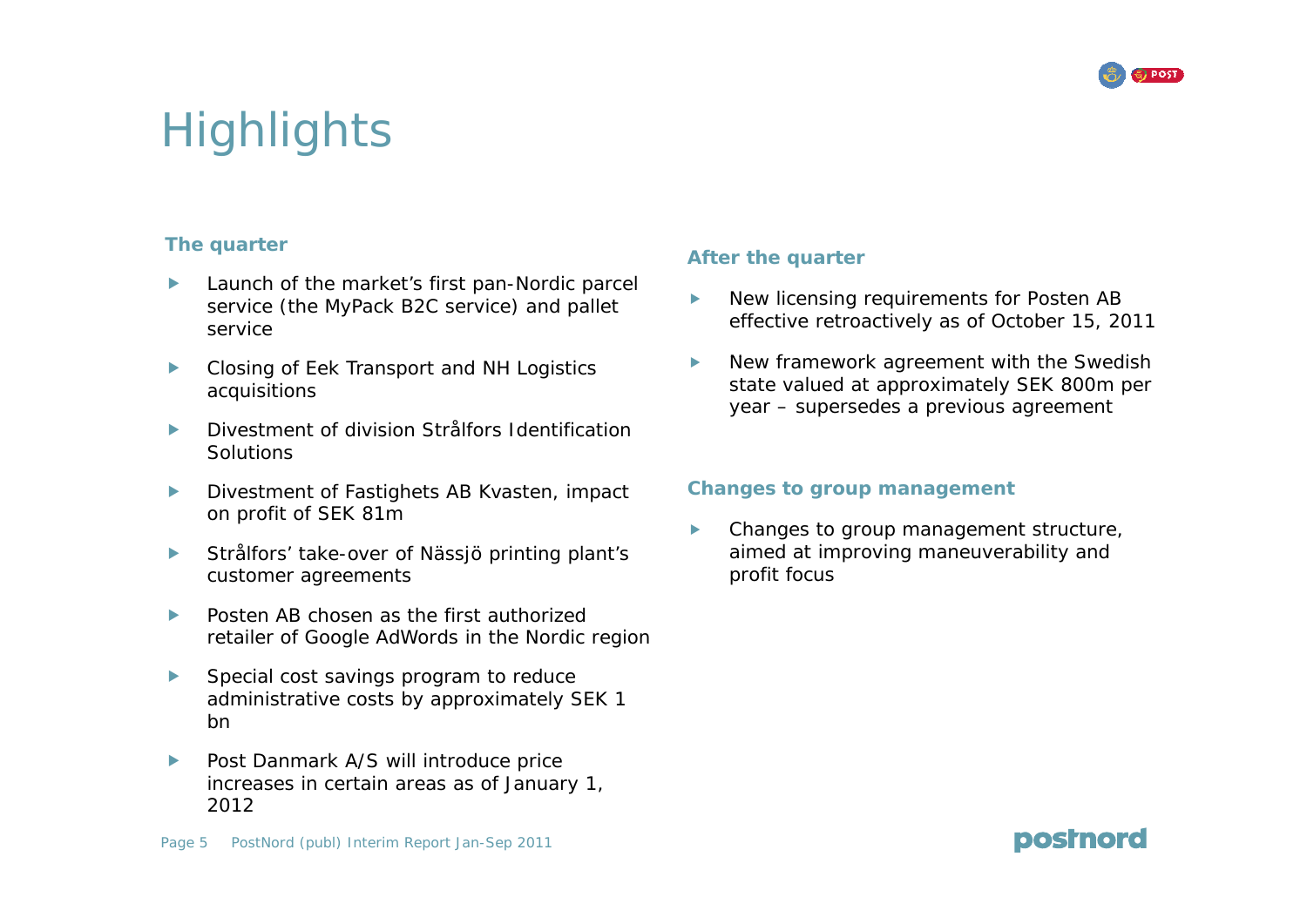

postnord

# Highlights

### **The quarter**

- $\blacktriangleright$  Launch of the market's first pan-Nordic parcel service (the MyPack B2C service) and pallet service
- $\blacktriangleright$  Closing of Eek Transport and NH Logistics acquisitions
- $\blacktriangleright$  Divestment of division Strålfors Identification Solutions
- $\blacktriangleright$  Divestment of Fastighets AB Kvasten, impact on profit of SEK 81m
- $\blacktriangleright$  Strålfors' take-over of Nässjö printing plant's customer agreements example and profit focus
- $\blacktriangleright$  Posten AB chosen as the first authorized retailer of Google AdWords in the Nordic region
- $\blacktriangleright$ Special cost savings program to reduce administrative costs by approximately SEK 1 bn
- $\blacktriangleright$  Post Danmark A/S will introduce price increases in certain areas as of January 1, 2012

### **Aft th t The quarter After the quarter**

- $\blacktriangleright$  New licensing requirements for Posten AB effective retroactively as of October 15, 2011
- New framework agreement with the Swedish  $\blacktriangleright$ state valued at approximately SEK 800m per year – supersedes a previous agreement

### **Changes to group management**

f Changes to group management structure, aimed at improving maneuverability and

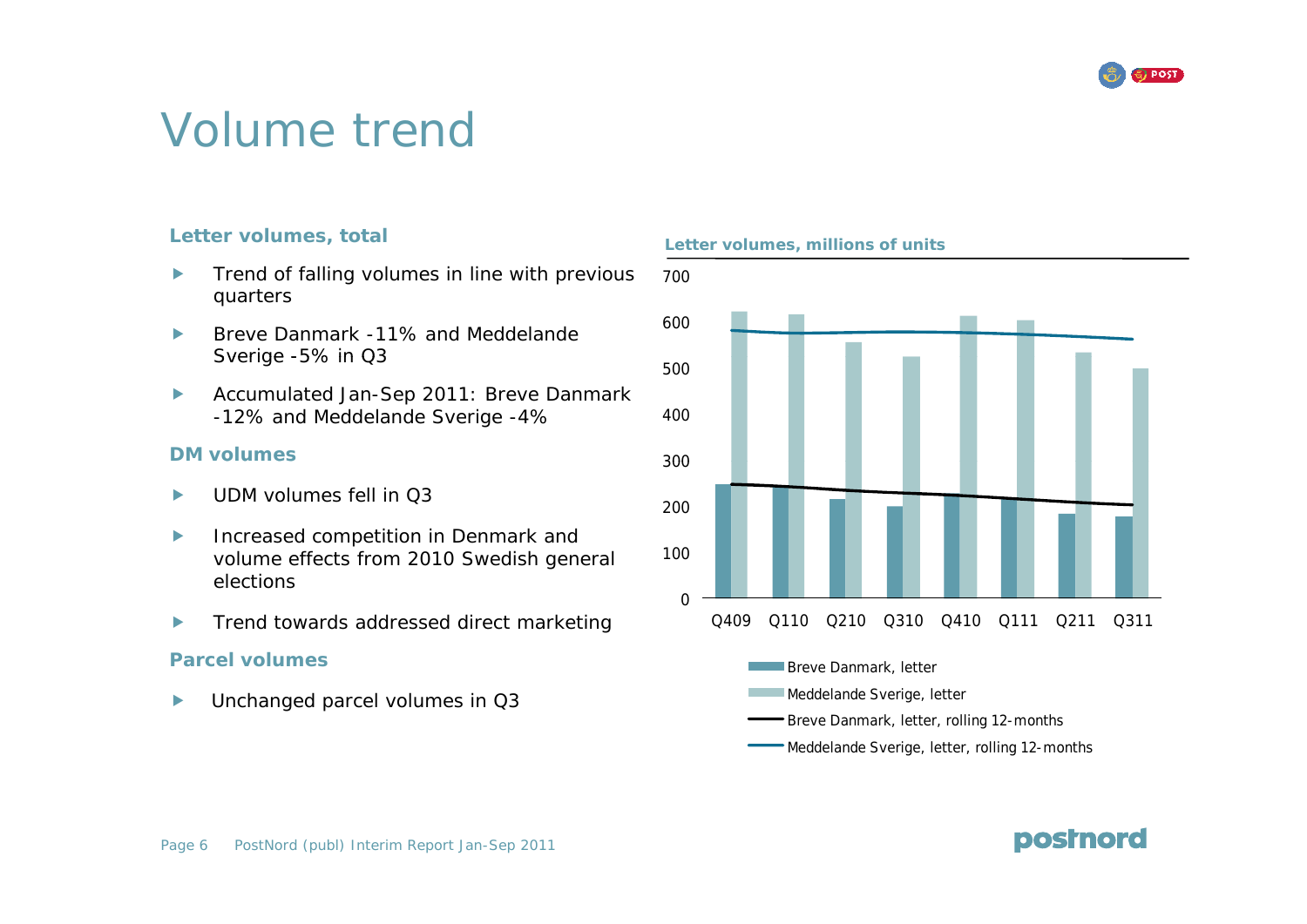

# Volume trend

- $\blacktriangleright$ Trend of falling volumes in line with previous 700 quarters
- $\blacktriangleright$  Breve Danmark -11% and Meddelande Sverige -5% in Q3
- $\blacktriangleright$  Accumulated Jan-Sep 2011: Breve Danmark -12% and Meddelande Sverige -4%

#### **DM volumeso u es**

- fUDM volumes fell in Q3
- $\blacktriangleright$  Increased competition in Denmark and volume effects from 2010 Swedish general elections
- $\blacktriangleright$ Trend towards addressed direct marketing

### **Parcel volumes**

 $\blacktriangleright$ Unchanged parcel volumes in Q3

**Letter volumes, total Letter volumes, millions of units ,**



postnord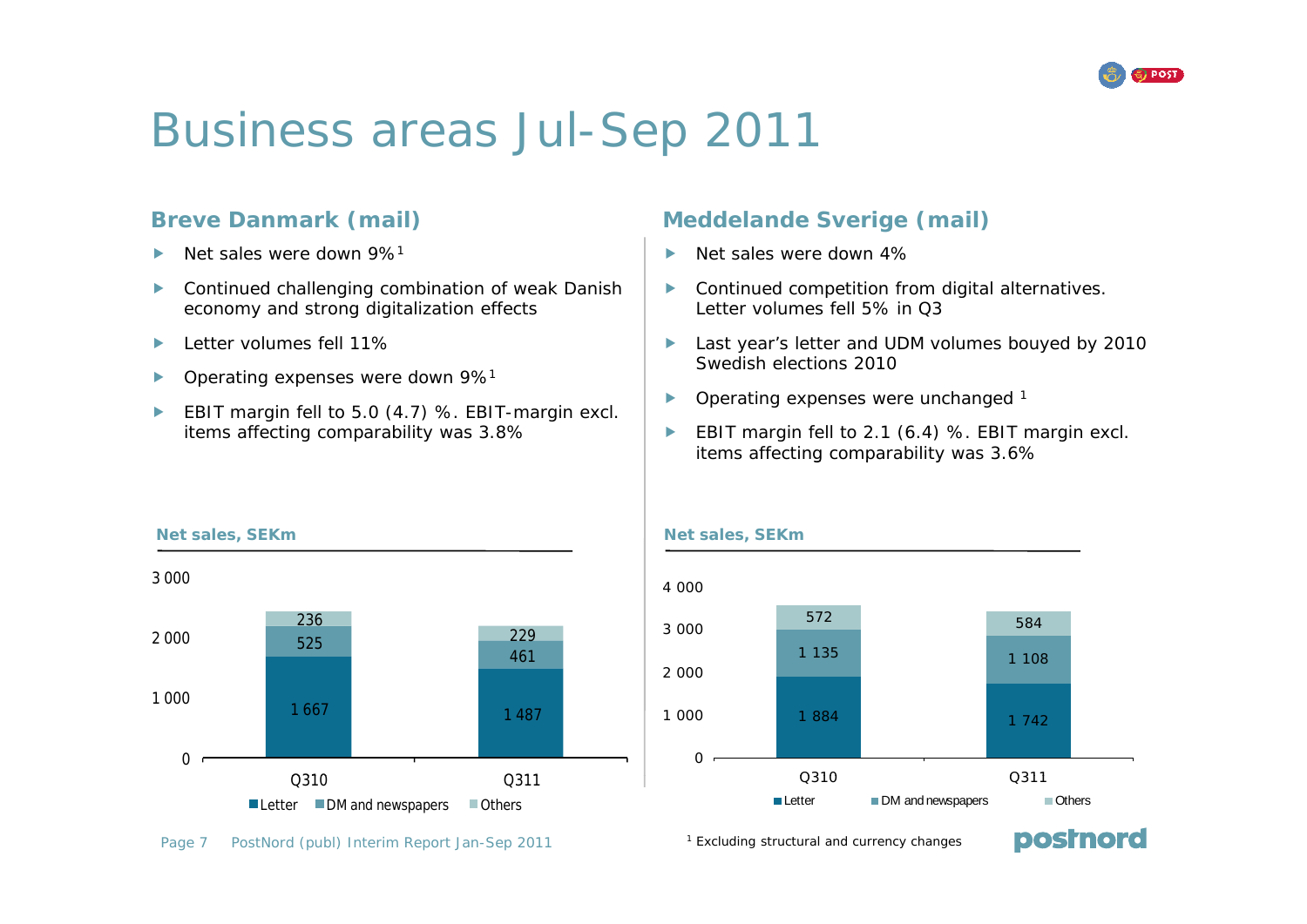

**postnord** 

# Business areas Jul-Sep 2011

### **Breve Danmark (mail)**

- $\blacktriangleright$ Net sales were down 9%1
- $\blacktriangleright$  Continued challenging combination of weak Danish economy and strong digitalization effects
- $\blacktriangleright$ Letter volumes fell 11%
- $\blacktriangleright$ Operating expenses were down 9%1
- $\blacktriangleright$  EBIT margin fell to 5.0 (4.7) %. EBIT-margin excl. items affecting comparability was 3.8%

### **Meddelande Sverige (mail)**

- $\blacksquare$ Net sales were down 4%
	- $\blacktriangleright$  Continued competition from digital alternatives. Letter volumes fell 5% in Q3
	- $\blacktriangleright$  Last year's letter and UDM volumes bouyed by 2010 Swedish elections 2010
	- $\blacktriangleright$ Operating expenses were unchanged 1
	- $\blacktriangleright$  EBIT margin fell to 2.1 (6.4) %. EBIT margin excl. items affecting comparability was 3.6%







<sup>1</sup> Excluding structural and currency changes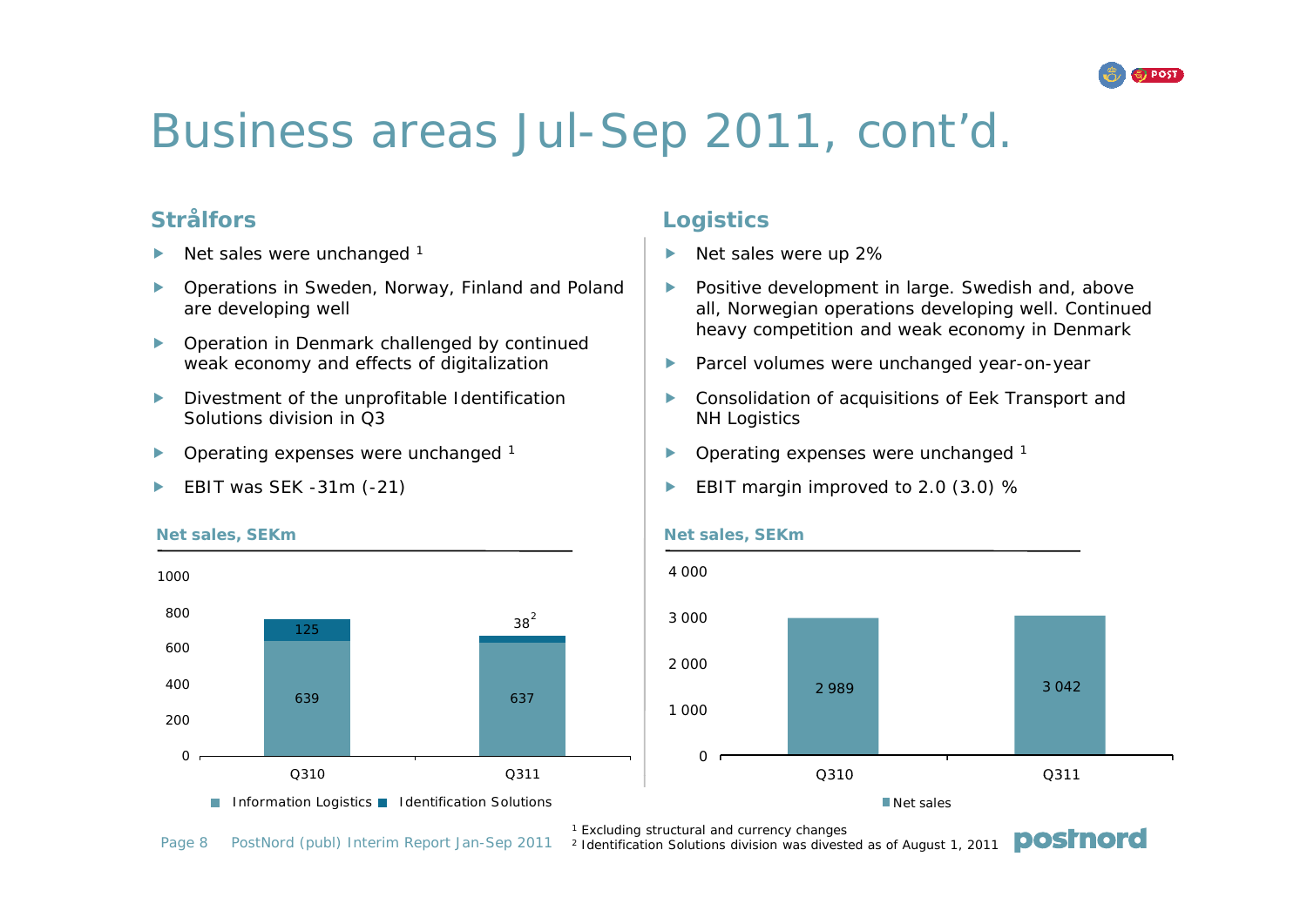

# Business areas Jul-Sep 2011, cont'd.

### **Strålfors**

- $\blacktriangleright$ Net sales were unchanged <sup>1</sup>
- $\blacktriangleright$  Operations in Sweden, Norway, Finland and Poland are developing well
- $\blacktriangleright$  Operation in Denmark challenged by continued weak economy and effects of digitalization **the set of the Parcel volumes were unchange**c
- $\blacktriangleright$  Divestment of the unprofitable Identification Solutions division in Q3
- $\blacktriangleright$ Operating expenses were unchanged 1
- fEBIT was SEK -31m (-21)

### **Logistics**

- 1 and 1 and 1 and 1 and 1 and 1 and 1 and 1 and 1 and 1 and 1 and 1 and 1 and 1 and 1 and 1 and 1 and 1 and 1 Net sales were up 2%
	- $\blacktriangleright$  Positive development in large. Swedish and, above all, Norwegian operations developing well. Continued heavy competition and weak economy in Denmark
	- $\blacktriangleright$ Parcel volumes were unchanged year-on-year
	- $\blacktriangleright$  Consolidation of acquisitions of Eek Transport and NH Logistics
- $\blacktriangleright$ perating expenses were unchanged  $1$   $\qquad$   $\qquad$  Operating expenses were unchanged  $\lceil$ 
	- $\blacktriangleright$ EBIT margin improved to 2.0 (3.0) %



### **Net sales, SEKm**



postnord

<sup>1</sup> Excluding structural and currency changes

Page 8 PostNord (publ) Interim Report Jan-Sep 2011 2 Identification Solutions division was divested as of August 1, 2011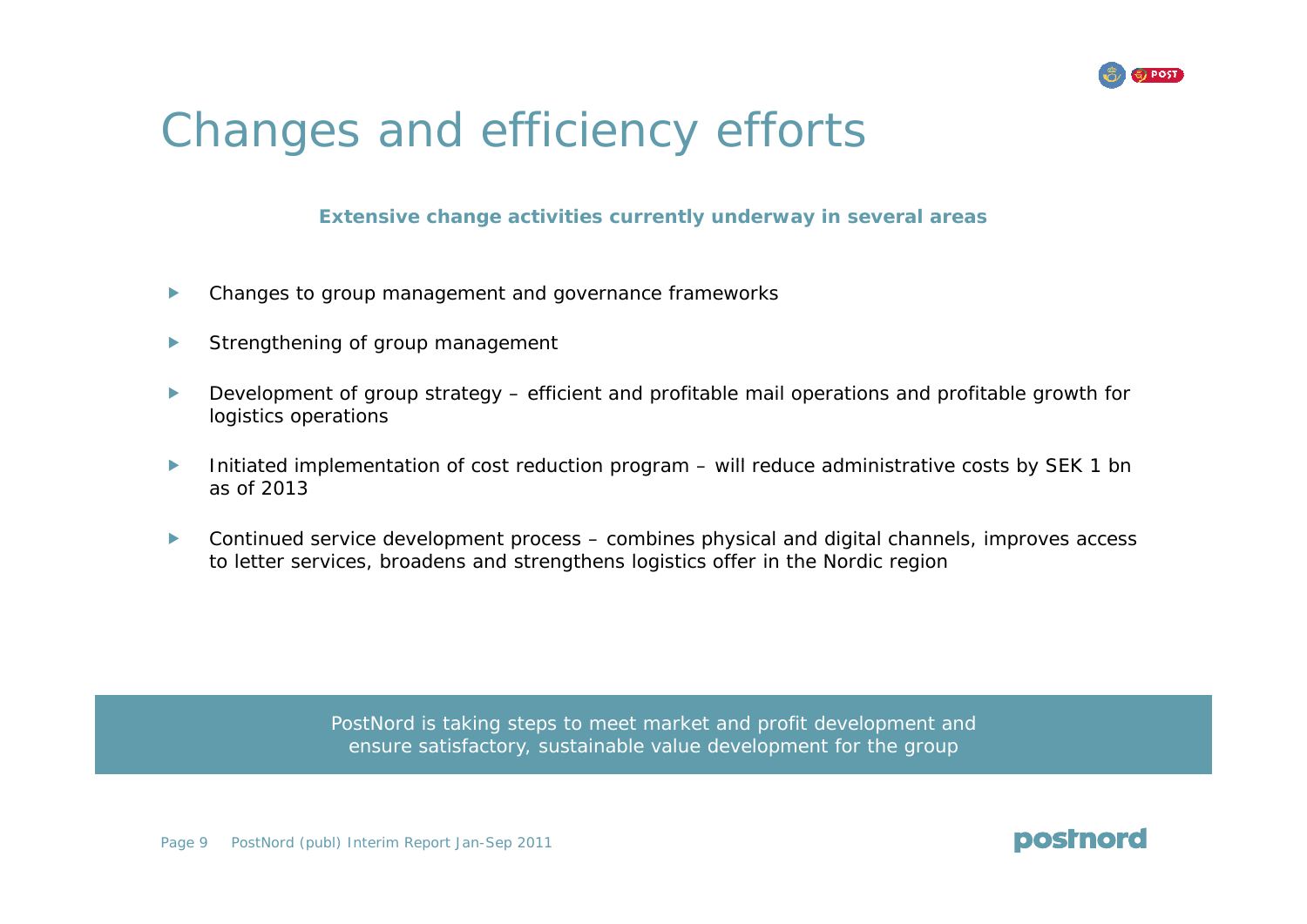

# Changes and efficiency efforts

### **Extensive change activities currently underway in several areas**

- $\blacktriangleright$ Changes to group management and governance frameworks
- $\blacktriangleright$ Strengthening of group management
- $\blacktriangleright$  Development of group strategy – efficient and profitable mail operations and profitable growth for logistics operations
- $\blacktriangleright$ Initiated implementation of cost reduction program – will reduce administrative costs by SEK 1 bn as of 2013
- $\blacktriangleright$  Continued service development process – combines physical and digital channels, improves access to letter services, broadens and strengthens logistics offer in the Nordic region

PostNord is taking steps to meet market and profit development and ensure satisfactory, sustainable value development for the group

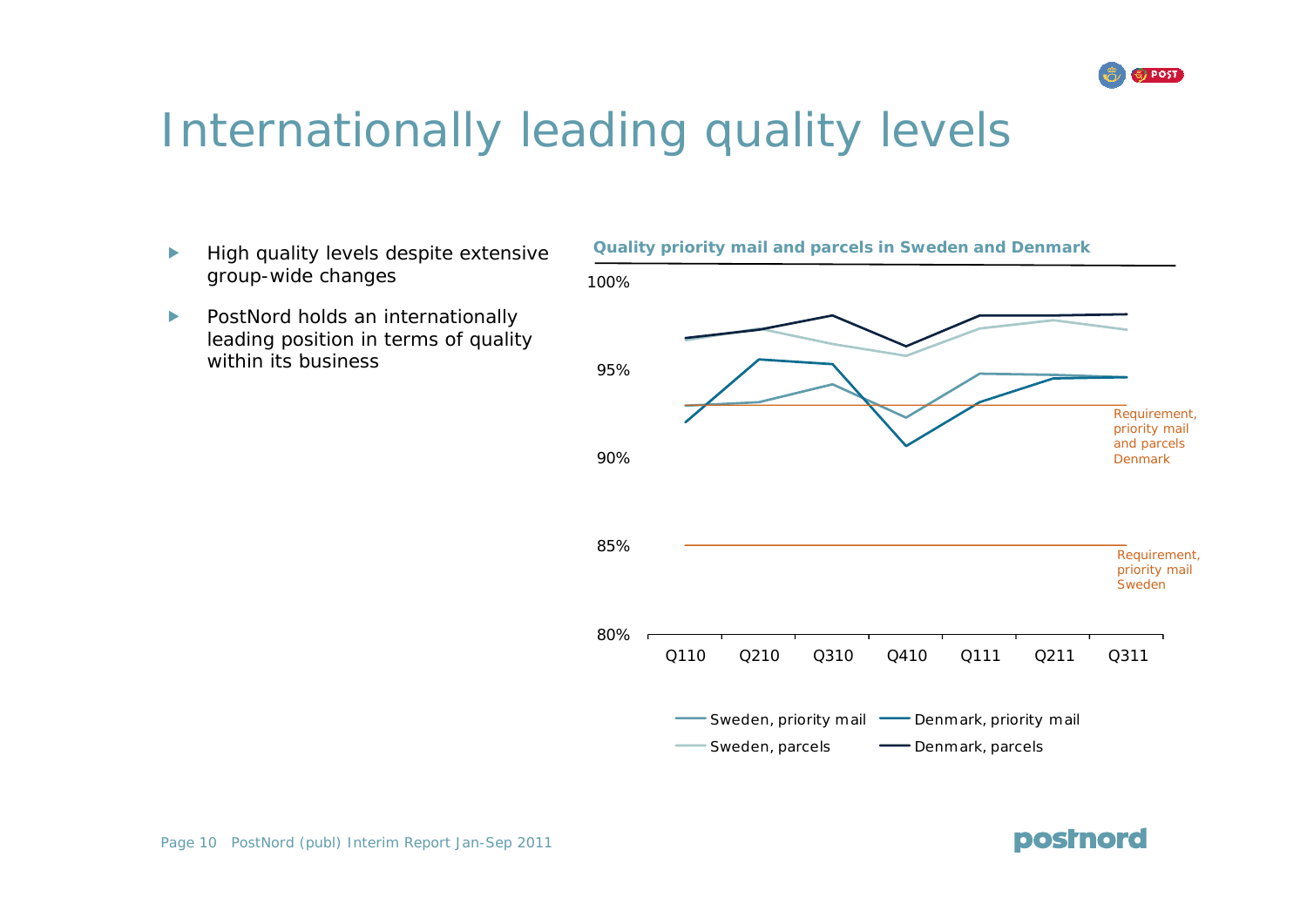

# Internationally leading quality levels

- $\blacktriangleright$ group-wide changes
- $\blacktriangleright$  PostNord holds an internationally leading position in terms of quality within its business



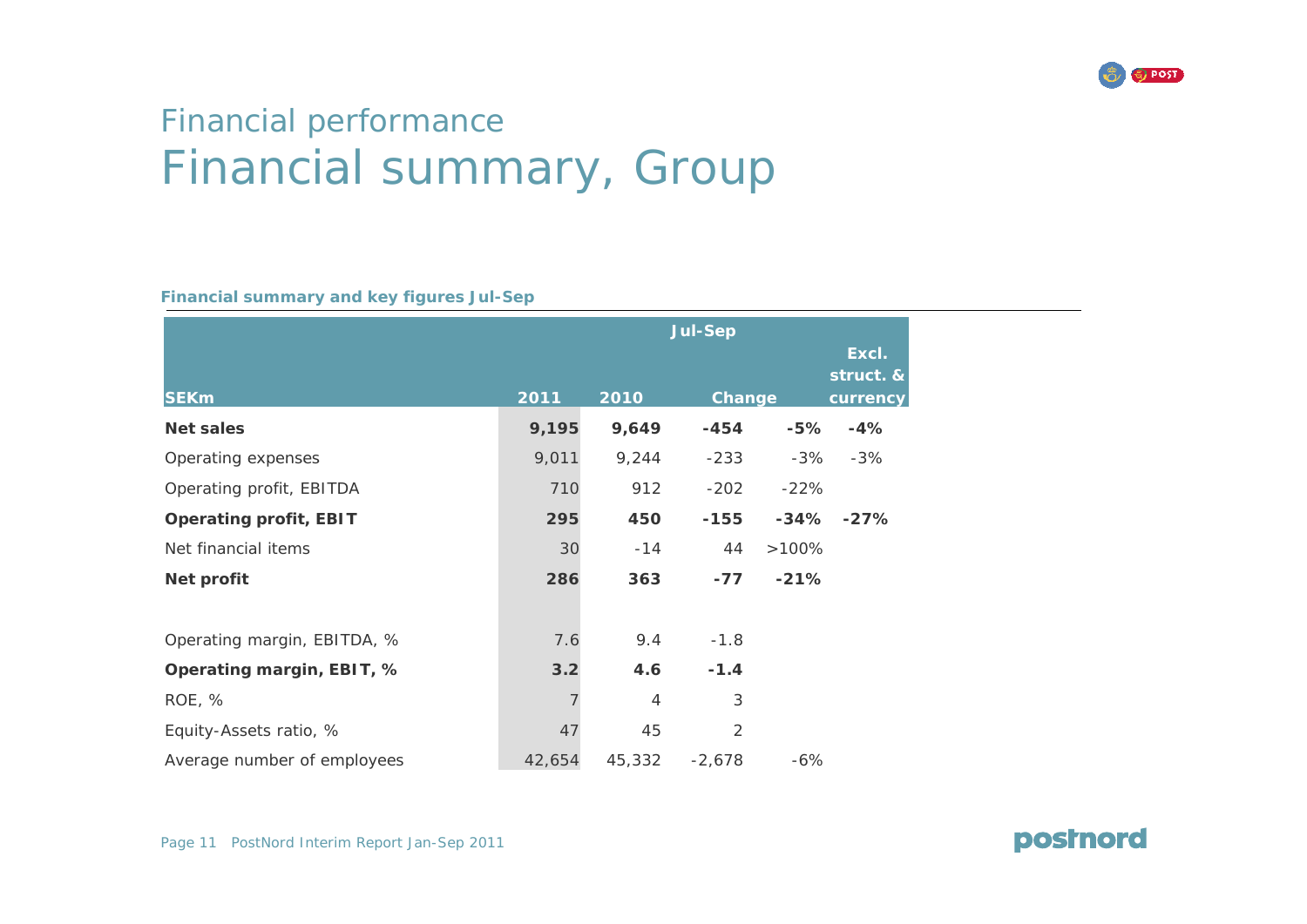

### Financial performance Financial summary, Group

**Financial summary and key figures Jul-Sep**

|                               | <b>Jul-Sep</b> |                |                |        |                                |
|-------------------------------|----------------|----------------|----------------|--------|--------------------------------|
| <b>SEKm</b>                   | 2011           | 2010           | Change         |        | Excl.<br>struct. &<br>currency |
| <b>Net sales</b>              | 9,195          | 9,649          | $-454$         | $-5%$  | $-4%$                          |
| Operating expenses            | 9,011          | 9,244          | $-233$         | -3%    | $-3%$                          |
| Operating profit, EBITDA      | 710            | 912            | $-202$         | $-22%$ |                                |
| <b>Operating profit, EBIT</b> | 295            | 450            | $-155$         |        | $-34\% -27\%$                  |
| Net financial items           | 30             | $-14$          | 44             | >100%  |                                |
| Net profit                    | 286            | 363            | $-77$          | $-21%$ |                                |
|                               |                |                |                |        |                                |
| Operating margin, EBITDA, %   | 7.6            | 9.4            | $-1.8$         |        |                                |
| Operating margin, EBIT, %     | 3.2            | 4.6            | $-1.4$         |        |                                |
| ROE, %                        |                | $\overline{4}$ | 3              |        |                                |
| Equity-Assets ratio, %        | 47             | 45             | $\overline{2}$ |        |                                |
| Average number of employees   | 42,654         | 45,332         | $-2,678$       | $-6%$  |                                |

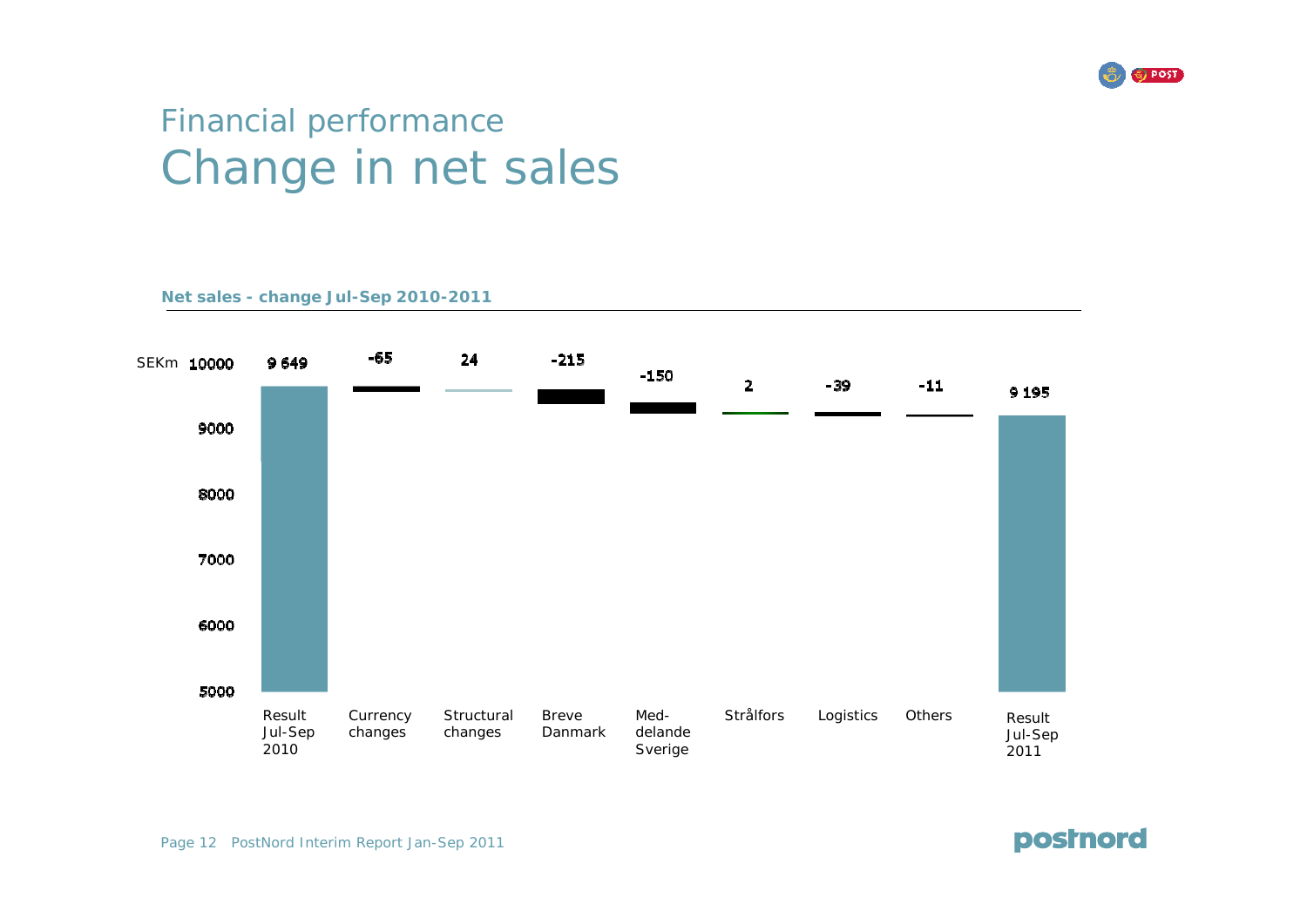

### Financial performance Change in net sales

**Net sales - change Jul-Sep 2010-2011**



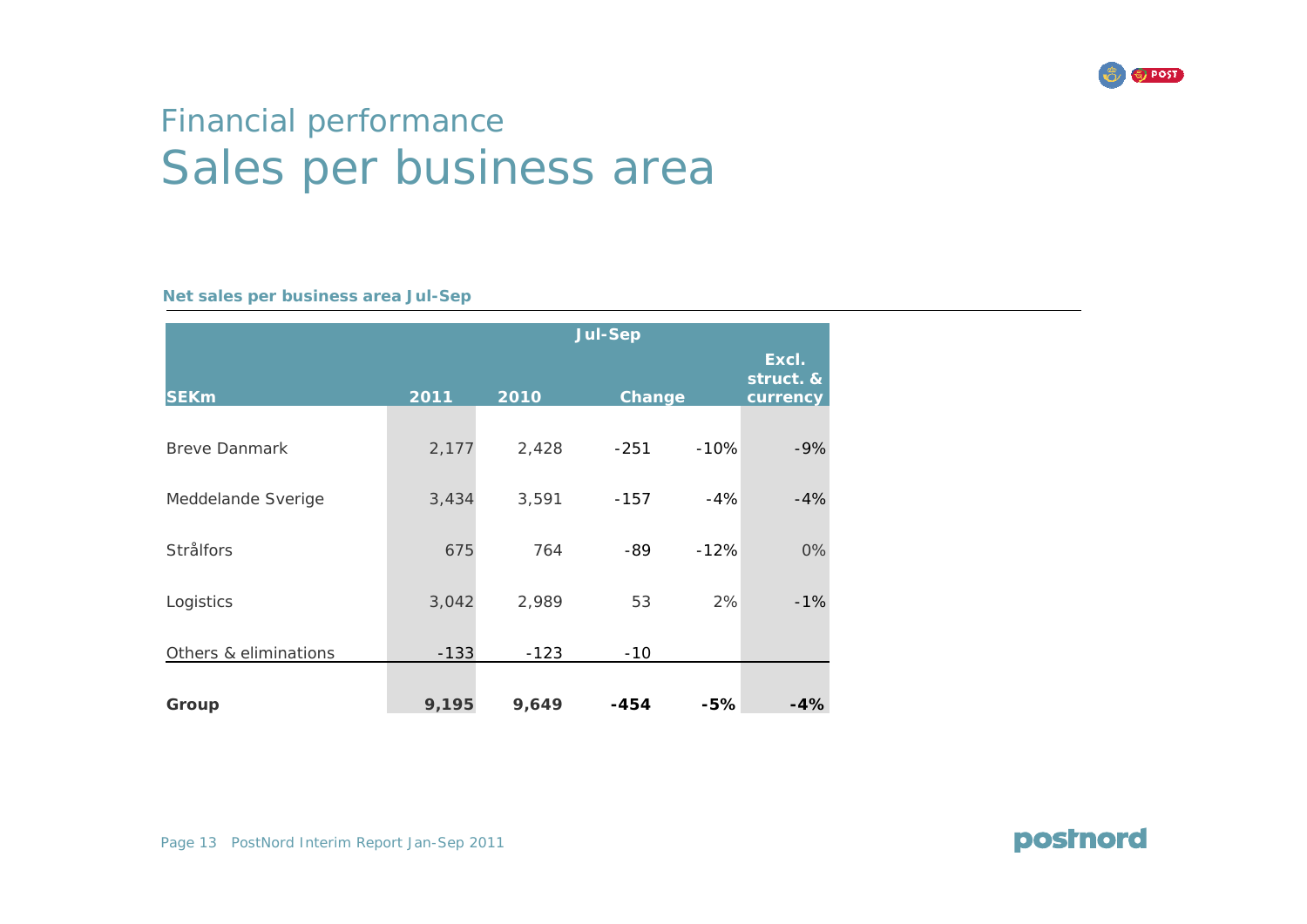

### Financial performance Sales per business area

#### **Net sales per business area Jul-Sep**

|                       | <b>Jul-Sep</b> |        |        |        |                                |
|-----------------------|----------------|--------|--------|--------|--------------------------------|
| <b>SEKm</b>           | 2011           | 2010   | Change |        | Excl.<br>struct. &<br>currency |
| <b>Breve Danmark</b>  | 2,177          | 2,428  | $-251$ | $-10%$ | $-9%$                          |
| Meddelande Sverige    | 3,434          | 3,591  | $-157$ | $-4%$  | $-4%$                          |
| <b>Strålfors</b>      | 675            | 764    | -89    | $-12%$ | 0%                             |
| Logistics             | 3,042          | 2,989  | 53     | 2%     | $-1%$                          |
| Others & eliminations | $-133$         | $-123$ | $-10$  |        |                                |
| Group                 | 9,195          | 9,649  | $-454$ | $-5%$  | $-4%$                          |

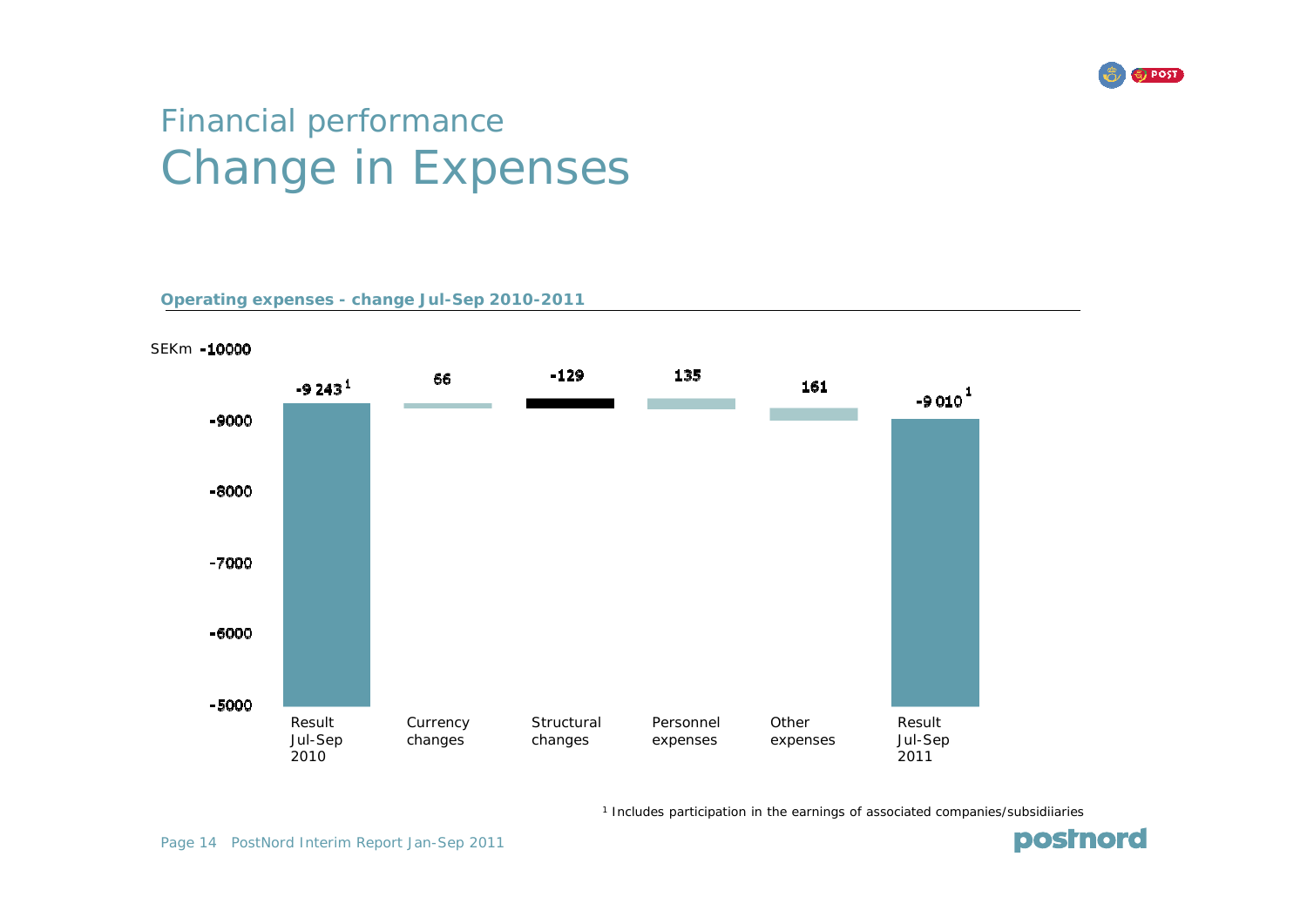

### Financial performance Change in Expenses

**Operating expenses - change Jul-Sep 2010-2011**



1 Includes participation in the earnings of associated companies/subsidiiaries

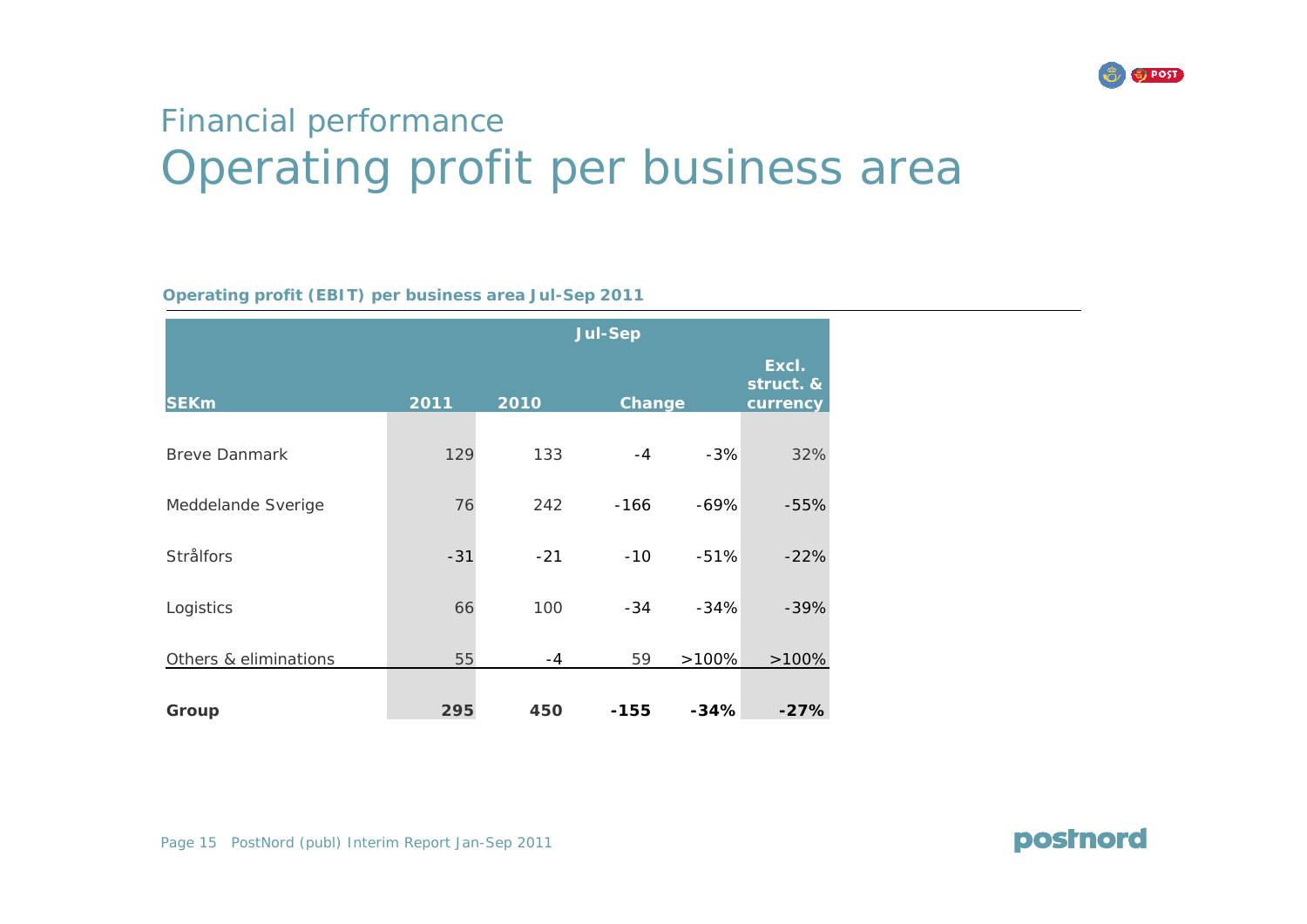

### Financial performance Operating profit per business area

#### **Operating profit (EBIT) per business area Jul-Sep 2011**

|                       | <b>Jul-Sep</b> |       |        |        |                                |
|-----------------------|----------------|-------|--------|--------|--------------------------------|
| <b>SEKm</b>           | 2011           | 2010  | Change |        | Excl.<br>struct. &<br>currency |
| <b>Breve Danmark</b>  | 129            | 133   | $-4$   | $-3%$  | 32%                            |
| Meddelande Sverige    | 76             | 242   | $-166$ | $-69%$ | $-55%$                         |
| <b>Strålfors</b>      | $-31$          | $-21$ | $-10$  | $-51%$ | $-22%$                         |
| Logistics             | 66             | 100   | $-34$  | $-34%$ | $-39%$                         |
| Others & eliminations | 55             | $-4$  | 59     | >100%  | $>100\%$                       |
| Group                 | 295            | 450   | $-155$ | $-34%$ | $-27%$                         |

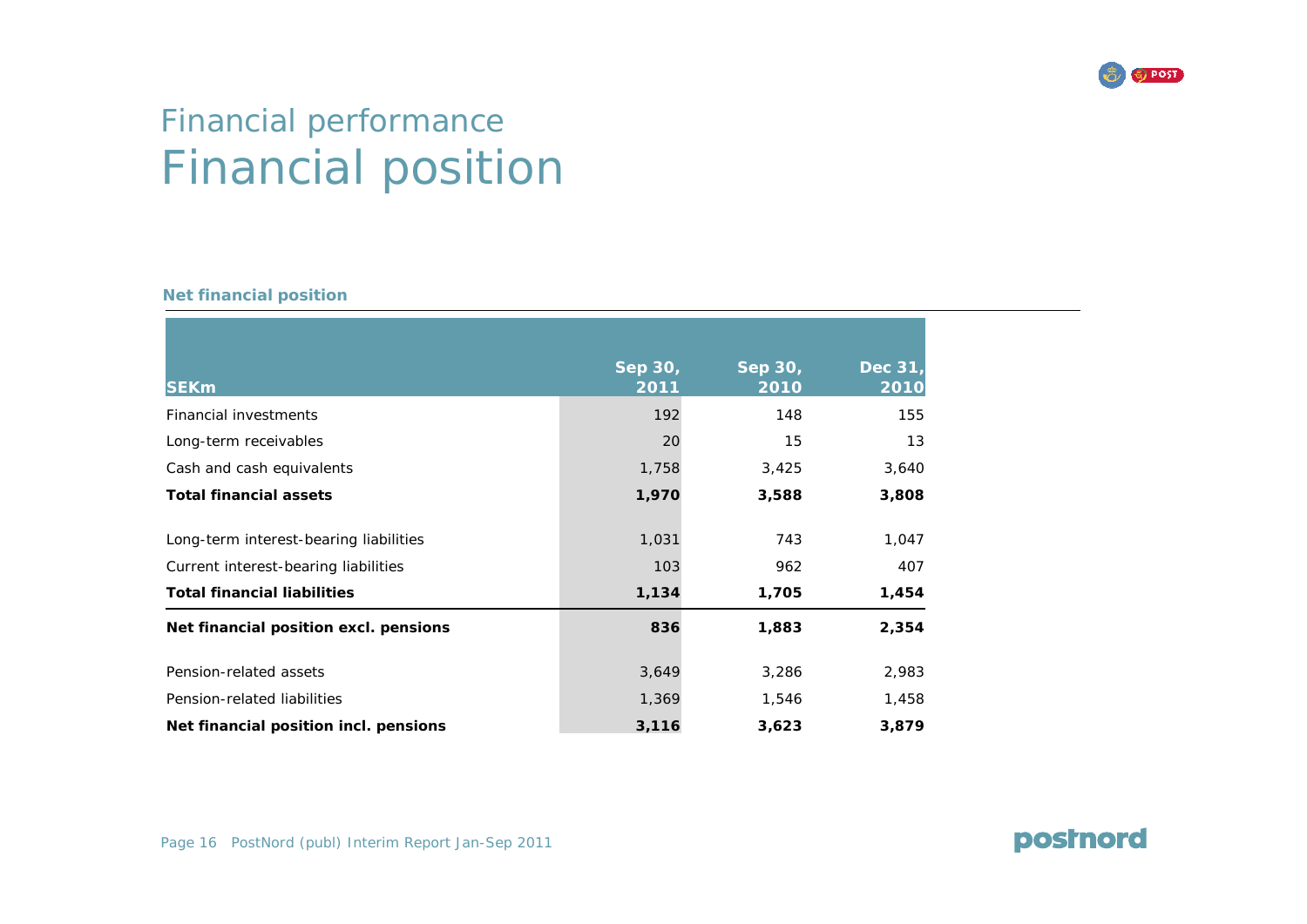

### Financial performance Financial position

#### **Net financial position**

| <b>SEKm</b>                            | Sep 30,<br>2011 | Sep 30,<br>2010 | Dec 31,<br>2010 |
|----------------------------------------|-----------------|-----------------|-----------------|
| Financial investments                  | 192             | 148             | 155             |
| Long-term receivables                  | 20              | 15              | 13              |
| Cash and cash equivalents              | 1,758           | 3,425           | 3,640           |
| <b>Total financial assets</b>          | 1,970           | 3,588           | 3,808           |
| Long-term interest-bearing liabilities | 1,031           | 743             | 1,047           |
| Current interest-bearing liabilities   | 103             | 962             | 407             |
| <b>Total financial liabilities</b>     | 1,134           | 1,705           | 1,454           |
| Net financial position excl. pensions  | 836             | 1,883           | 2,354           |
| Pension-related assets                 | 3,649           | 3,286           | 2,983           |
| Pension-related liabilities            | 1,369           | 1,546           | 1,458           |
| Net financial position incl. pensions  | 3,116           | 3,623           | 3,879           |

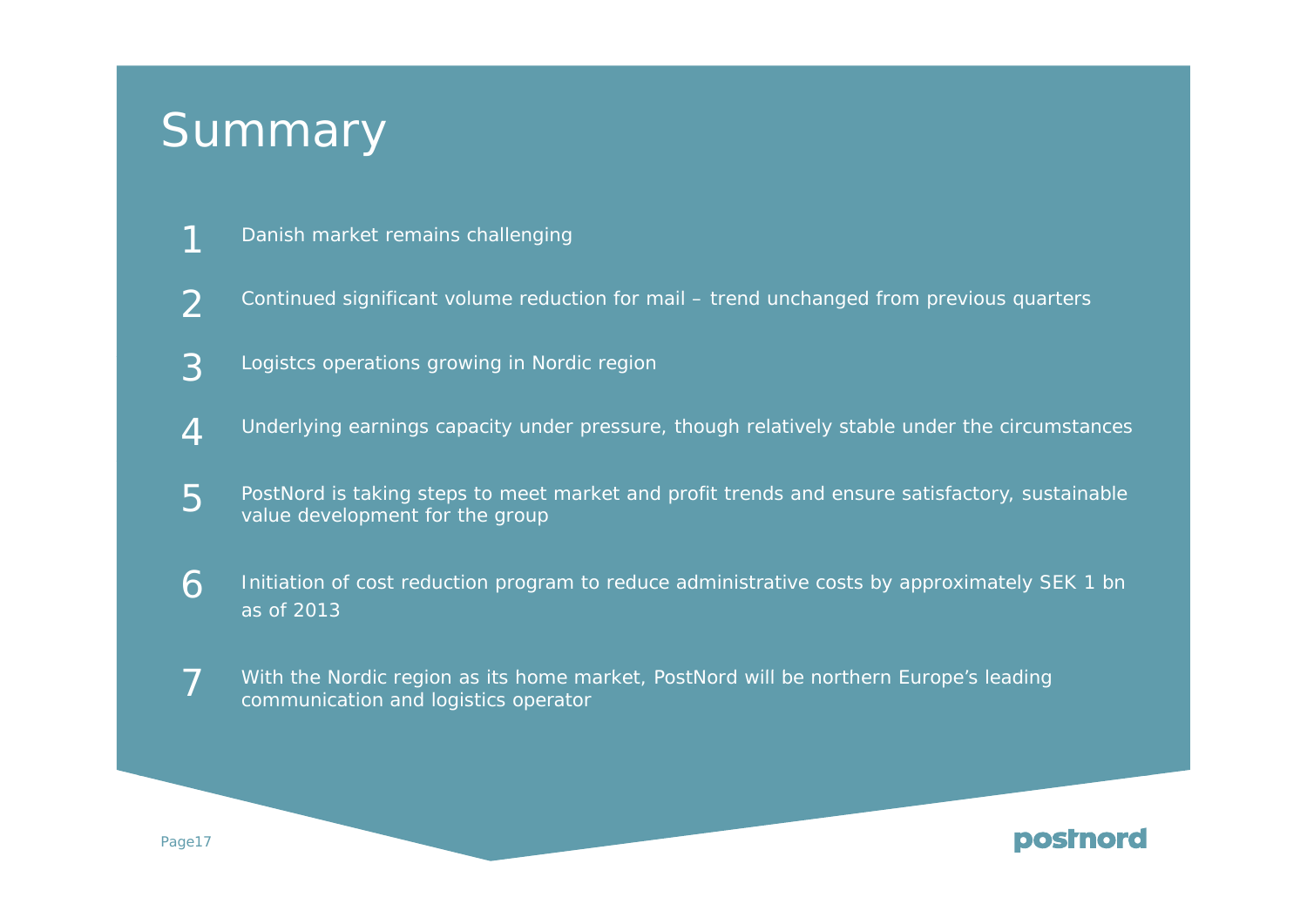# Summary

- 1Danish market remains challenging
- $\overline{\mathcal{L}}$ Continued significant volume reduction for mail – trend unchanged from previous quarters
- 3Logistcs operations growing in Nordic region
- 4Underlying earnings capacity under pressure, though relatively stable under the circumstances
- 5PostNord is taking steps to meet market and profit trends and ensure satisfactory, sustainable value development for the group
- 6 Initiation of cost reduction program to reduce administrative costs by approximately SEK 1 bn as of 2013
- 7With the Nordic region as its home market, PostNord will be northern Europe's leading communication and logistics operator